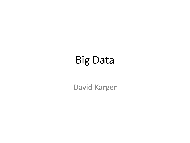# Big Data

David Karger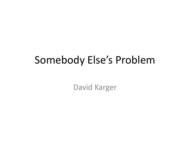## Somebody Else's Problem

David Karger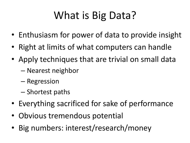# What is Big Data?

- Enthusiasm for power of data to provide insight
- Right at limits of what computers can handle
- Apply techniques that are trivial on small data
	- Nearest neighbor
	- Regression
	- Shortest paths
- Everything sacrificed for sake of performance
- Obvious tremendous potential
- Big numbers: interest/research/money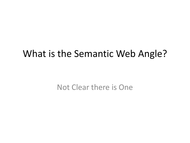#### What is the Semantic Web Angle?

Not Clear there is One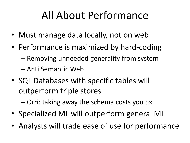# All About Performance

- Must manage data locally, not on web
- Performance is maximized by hard-coding
	- Removing unneeded generality from system
	- Anti Semantic Web
- SQL Databases with specific tables will outperform triple stores

– Orri: taking away the schema costs you 5x

- Specialized ML will outperform general ML
- Analysts will trade ease of use for performance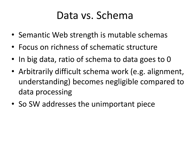## Data vs. Schema

- Semantic Web strength is mutable schemas
- Focus on richness of schematic structure
- In big data, ratio of schema to data goes to 0
- Arbitrarily difficult schema work (e.g. alignment, understanding) becomes negligible compared to data processing
- So SW addresses the unimportant piece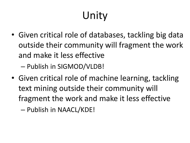# Unity

• Given critical role of databases, tackling big data outside their community will fragment the work and make it less effective

– Publish in SIGMOD/VLDB!

• Given critical role of machine learning, tackling text mining outside their community will fragment the work and make it less effective

– Publish in NAACL/KDE!